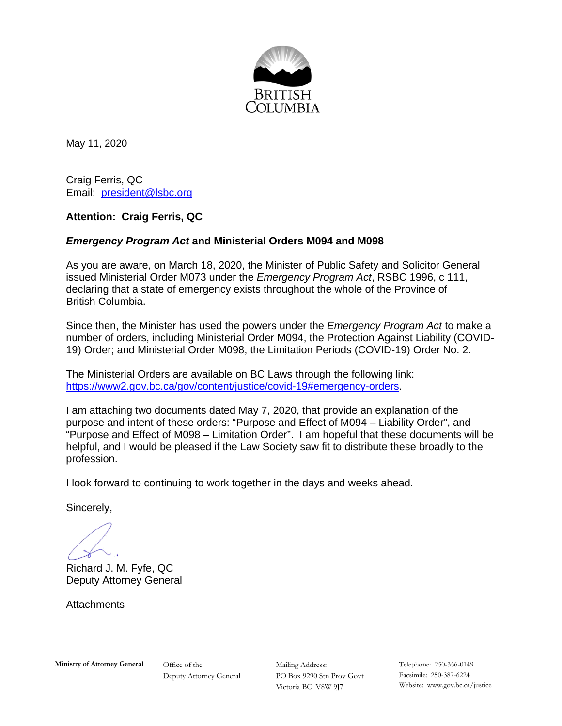

May 11, 2020

Craig Ferris, QC Email: [president@lsbc.org](mailto:president@lsbc.org) 

### **Attention: Craig Ferris, QC**

### *Emergency Program Act* **and Ministerial Orders M094 and M098**

As you are aware, on March 18, 2020, the Minister of Public Safety and Solicitor General issued Ministerial Order M073 under the *Emergency Program Act*, RSBC 1996, c 111, declaring that a state of emergency exists throughout the whole of the Province of British Columbia.

Since then, the Minister has used the powers under the *Emergency Program Act* to make a number of orders, including Ministerial Order M094, the Protection Against Liability (COVID-19) Order; and Ministerial Order M098, the Limitation Periods (COVID-19) Order No. 2.

The Ministerial Orders are available on BC Laws through the following link: [https://www2.gov.bc.ca/gov/content/justice/covid-19#emergency-orders.](https://www2.gov.bc.ca/gov/content/justice/covid-19#emergency-orders)

I am attaching two documents dated May 7, 2020, that provide an explanation of the purpose and intent of these orders: "Purpose and Effect of M094 – Liability Order", and "Purpose and Effect of M098 – Limitation Order". I am hopeful that these documents will be helpful, and I would be pleased if the Law Society saw fit to distribute these broadly to the profession.

I look forward to continuing to work together in the days and weeks ahead.

Sincerely,

Richard J. M. Fyfe, QC Deputy Attorney General

**Attachments** 

Mailing Address: PO Box 9290 Stn Prov Govt Victoria BC V8W 9J7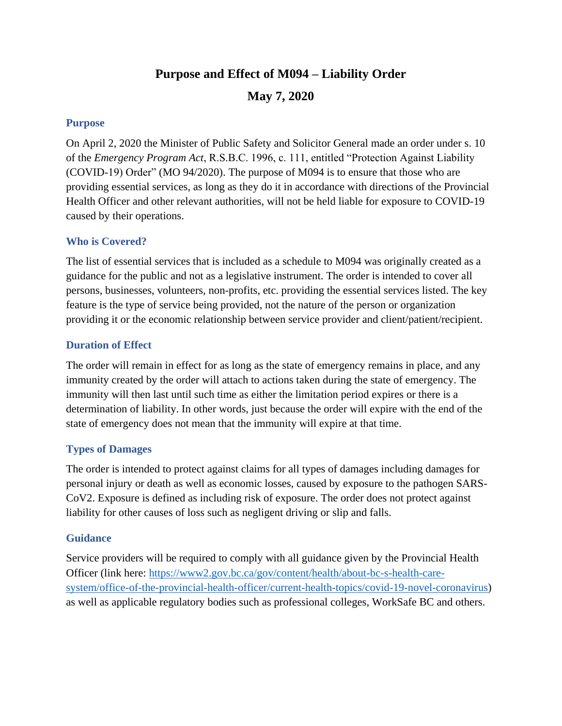# **Purpose and Effect of M094 – Liability Order May 7, 2020**

### **Purpose**

On April 2, 2020 the Minister of Public Safety and Solicitor General made an order under s. 10 of the *Emergency Program Act*, R.S.B.C. 1996, c. 111, entitled "Protection Against Liability (COVID-19) Order" (MO 94/2020). The purpose of M094 is to ensure that those who are providing essential services, as long as they do it in accordance with directions of the Provincial Health Officer and other relevant authorities, will not be held liable for exposure to COVID-19 caused by their operations.

#### **Who is Covered?**

The list of essential services that is included as a schedule to M094 was originally created as a guidance for the public and not as a legislative instrument. The order is intended to cover all persons, businesses, volunteers, non-profits, etc. providing the essential services listed. The key feature is the type of service being provided, not the nature of the person or organization providing it or the economic relationship between service provider and client/patient/recipient.

#### **Duration of Effect**

The order will remain in effect for as long as the state of emergency remains in place, and any immunity created by the order will attach to actions taken during the state of emergency. The immunity will then last until such time as either the limitation period expires or there is a determination of liability. In other words, just because the order will expire with the end of the state of emergency does not mean that the immunity will expire at that time.

### **Types of Damages**

The order is intended to protect against claims for all types of damages including damages for personal injury or death as well as economic losses, caused by exposure to the pathogen SARS-CoV2. Exposure is defined as including risk of exposure. The order does not protect against liability for other causes of loss such as negligent driving or slip and falls.

### **Guidance**

Service providers will be required to comply with all guidance given by the Provincial Health Officer (link here: [https://www2.gov.bc.ca/gov/content/health/about-bc-s-health-care](https://www2.gov.bc.ca/gov/content/health/about-bc-s-health-care-system/office-of-the-provincial-health-officer/current-health-topics/covid-19-novel-coronavirus)[system/office-of-the-provincial-health-officer/current-health-topics/covid-19-novel-coronavirus\)](https://www2.gov.bc.ca/gov/content/health/about-bc-s-health-care-system/office-of-the-provincial-health-officer/current-health-topics/covid-19-novel-coronavirus) as well as applicable regulatory bodies such as professional colleges, WorkSafe BC and others.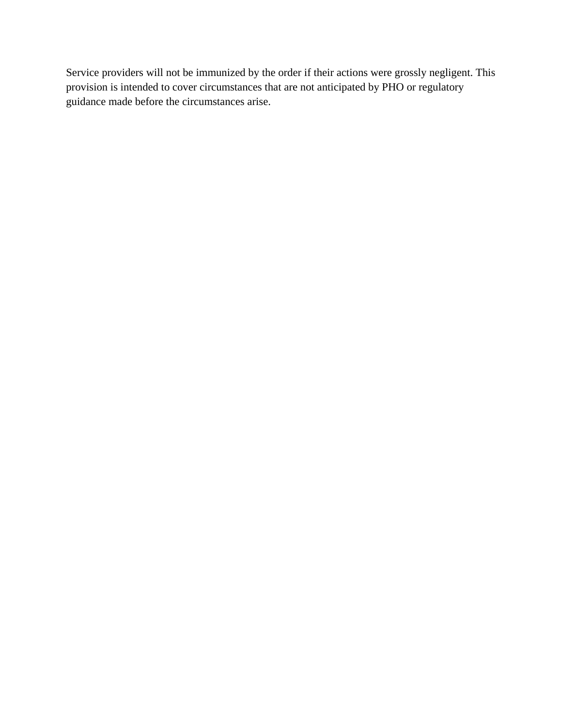Service providers will not be immunized by the order if their actions were grossly negligent. This provision is intended to cover circumstances that are not anticipated by PHO or regulatory guidance made before the circumstances arise.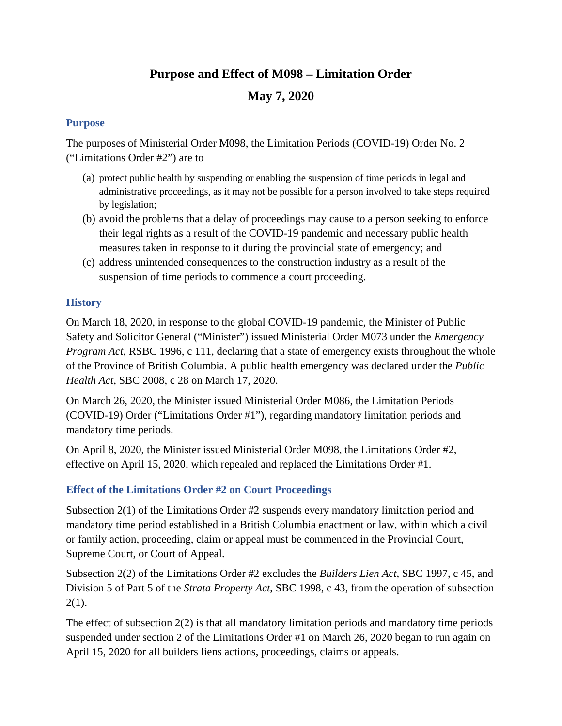# **Purpose and Effect of M098 – Limitation Order**

# **May 7, 2020**

### **Purpose**

The purposes of Ministerial Order M098, the Limitation Periods (COVID-19) Order No. 2 ("Limitations Order #2") are to

- (a) protect public health by suspending or enabling the suspension of time periods in legal and administrative proceedings, as it may not be possible for a person involved to take steps required by legislation;
- (b) avoid the problems that a delay of proceedings may cause to a person seeking to enforce their legal rights as a result of the COVID-19 pandemic and necessary public health measures taken in response to it during the provincial state of emergency; and
- (c) address unintended consequences to the construction industry as a result of the suspension of time periods to commence a court proceeding.

# **History**

On March 18, 2020, in response to the global COVID-19 pandemic, the Minister of Public Safety and Solicitor General ("Minister") issued Ministerial Order M073 under the *Emergency Program Act*, RSBC 1996, c 111, declaring that a state of emergency exists throughout the whole of the Province of British Columbia. A public health emergency was declared under the *Public Health Act*, SBC 2008, c 28 on March 17, 2020.

On March 26, 2020, the Minister issued Ministerial Order M086, the Limitation Periods (COVID-19) Order ("Limitations Order #1"), regarding mandatory limitation periods and mandatory time periods.

On April 8, 2020, the Minister issued Ministerial Order M098, the Limitations Order #2, effective on April 15, 2020, which repealed and replaced the Limitations Order #1.

# **Effect of the Limitations Order #2 on Court Proceedings**

Subsection 2(1) of the Limitations Order #2 suspends every mandatory limitation period and mandatory time period established in a British Columbia enactment or law, within which a civil or family action, proceeding, claim or appeal must be commenced in the Provincial Court, Supreme Court, or Court of Appeal.

Subsection 2(2) of the Limitations Order #2 excludes the *Builders Lien Act*, SBC 1997, c 45, and Division 5 of Part 5 of the *Strata Property Act*, SBC 1998, c 43, from the operation of subsection  $2(1)$ .

The effect of subsection 2(2) is that all mandatory limitation periods and mandatory time periods suspended under section 2 of the Limitations Order #1 on March 26, 2020 began to run again on April 15, 2020 for all builders liens actions, proceedings, claims or appeals.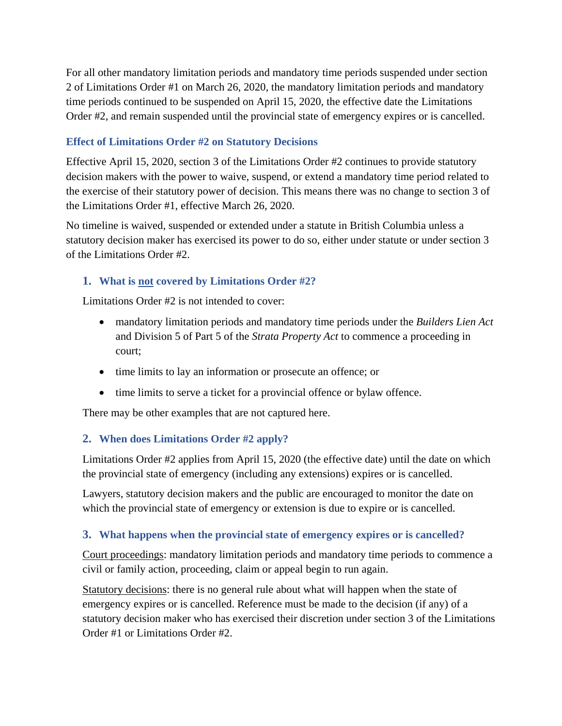For all other mandatory limitation periods and mandatory time periods suspended under section 2 of Limitations Order #1 on March 26, 2020, the mandatory limitation periods and mandatory time periods continued to be suspended on April 15, 2020, the effective date the Limitations Order #2, and remain suspended until the provincial state of emergency expires or is cancelled.

### **Effect of Limitations Order #2 on Statutory Decisions**

Effective April 15, 2020, section 3 of the Limitations Order #2 continues to provide statutory decision makers with the power to waive, suspend, or extend a mandatory time period related to the exercise of their statutory power of decision. This means there was no change to section 3 of the Limitations Order #1, effective March 26, 2020.

No timeline is waived, suspended or extended under a statute in British Columbia unless a statutory decision maker has exercised its power to do so, either under statute or under section 3 of the Limitations Order #2.

# **1. What is not covered by Limitations Order #2?**

Limitations Order #2 is not intended to cover:

- mandatory limitation periods and mandatory time periods under the *Builders Lien Act* and Division 5 of Part 5 of the *Strata Property Act* to commence a proceeding in court;
- time limits to lay an information or prosecute an offence; or
- time limits to serve a ticket for a provincial offence or bylaw offence.

There may be other examples that are not captured here.

# **2. When does Limitations Order #2 apply?**

Limitations Order #2 applies from April 15, 2020 (the effective date) until the date on which the provincial state of emergency (including any extensions) expires or is cancelled.

Lawyers, statutory decision makers and the public are encouraged to monitor the date on which the provincial state of emergency or extension is due to expire or is cancelled.

### **3. What happens when the provincial state of emergency expires or is cancelled?**

Court proceedings: mandatory limitation periods and mandatory time periods to commence a civil or family action, proceeding, claim or appeal begin to run again.

Statutory decisions: there is no general rule about what will happen when the state of emergency expires or is cancelled. Reference must be made to the decision (if any) of a statutory decision maker who has exercised their discretion under section 3 of the Limitations Order #1 or Limitations Order #2.